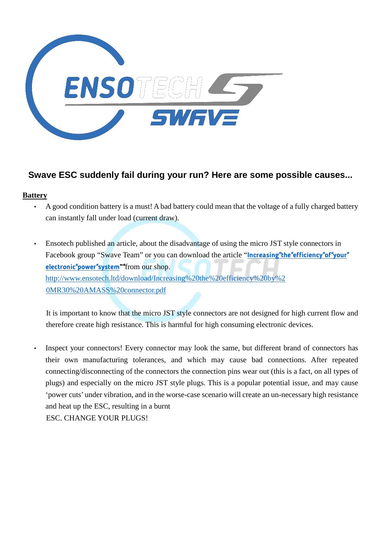

# **Swave ESC suddenly fail during your run? Here are some possible causes...**

#### **Battery**

- A good condition battery is a must! A bad battery could mean that the voltage of a fully charged battery can instantly fall under load (current draw).
- Ensotech published an article, about the disadvantage of using the micro JST style connectors in Facebook group "Swave Team" or you can download the article "**[Increasing"the"efficiency"of"your"](http://www.ensotech.ltd/download/Increasing%20the%20efficiency%20by%20MR30%20AMASS%20connector.pdf) [electronic"power"system""](http://www.ensotech.ltd/download/Increasing%20the%20efficiency%20by%20MR30%20AMASS%20connector.pdf)**from our shop. [http://www.ensotech.ltd/download/Increasing%20the%20efficiency%20by%2](http://www.ensotech.ltd/download/Increasing%20the%20efficiency%20by%20MR30%20AMASS%20connector.pdf) [0MR30%20AMASS%20connector.pdf](http://www.ensotech.ltd/download/Increasing%20the%20efficiency%20by%20MR30%20AMASS%20connector.pdf)

It is important to know that the micro JST style connectors are not designed for high current flow and therefore create high resistance. This is harmful for high consuming electronic devices.

Inspect your connectors! Every connector may look the same, but different brand of connectors has their own manufacturing tolerances, and which may cause bad connections. After repeated connecting/disconnecting of the connectors the connection pins wear out (this is a fact, on all types of plugs) and especially on the micro JST style plugs. This is a popular potential issue, and may cause 'power cuts' under vibration, and in the worse-case scenario will create an un-necessary high resistance and heat up the ESC, resulting in a burnt ESC. CHANGE YOUR PLUGS!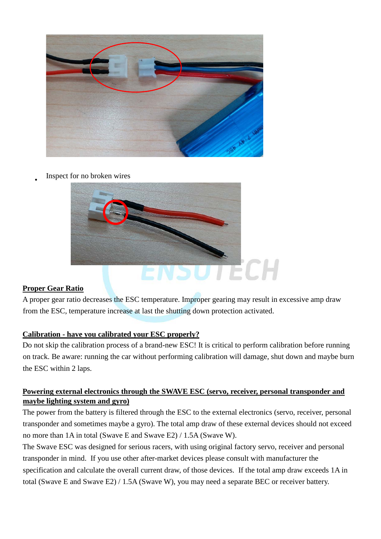

#### Inspect for no broken wires



# **Proper Gear Ratio**

A proper gear ratio decreases the ESC temperature. Improper gearing may result in excessive amp draw from the ESC, temperature increase at last the shutting down protection activated.

# **Calibration - have you calibrated your ESC properly?**

Do not skip the calibration process of a brand-new ESC! It is critical to perform calibration before running on track. Be aware: running the car without performing calibration will damage, shut down and maybe burn the ESC within 2 laps.

# **Powering external electronics through the SWAVE ESC (servo, receiver, personal transponder and maybe lighting system and gyro)**

The power from the battery is filtered through the ESC to the external electronics (servo, receiver, personal transponder and sometimes maybe a gyro). The total amp draw of these external devices should not exceed no more than 1A in total (Swave E and Swave E2) / 1.5A (Swave W).

The Swave ESC was designed for serious racers, with using original factory servo, receiver and personal transponder in mind. If you use other after-market devices please consult with manufacturer the specification and calculate the overall current draw, of those devices. If the total amp draw exceeds 1A in total (Swave E and Swave E2) / 1.5A (Swave W), you may need a separate BEC or receiver battery.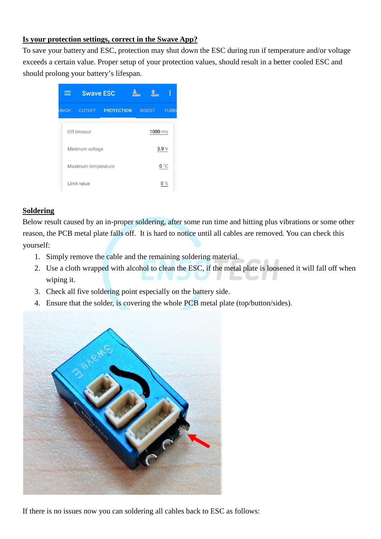#### **Is your protection settings, correct in the Swave App?**

To save your battery and ESC, protection may shut down the ESC during run if temperature and/or voltage exceeds a certain value. Proper setup of your protection values, should result in a better cooled ESC and should prolong your battery's lifespan.



#### **Soldering**

Below result caused by an in-proper soldering, after some run time and hitting plus vibrations or some other reason, the PCB metal plate falls off. It is hard to notice until all cables are removed. You can check this yourself:

- 1. Simply remove the cable and the remaining soldering material.
- 2. Use a cloth wrapped with alcohol to clean the ESC, if the metal plate is loosened it will fall off when wiping it.
- 3. Check all five soldering point especially on the battery side.
- 4. Ensure that the solder, is covering the whole PCB metal plate (top/button/sides).



If there is no issues now you can soldering all cables back to ESC as follows: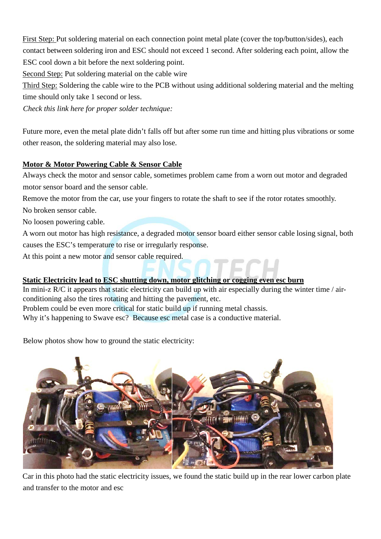First Step: Put soldering material on each connection point metal plate (cover the top/button/sides), each contact between soldering iron and ESC should not exceed 1 second. After soldering each point, allow the ESC cool down a bit before the next soldering point.

Second Step: Put soldering material on the cable wire

Third Step: Soldering the cable wire to the PCB without using additional soldering material and the melting time should only take 1 second or less.

*Check this link here for proper solder technique:* 

Future more, even the metal plate didn't falls off but after some run time and hitting plus vibrations or some other reason, the soldering material may also lose.

## **Motor & Motor Powering Cable & Sensor Cable**

Always check the motor and sensor cable, sometimes problem came from a worn out motor and degraded motor sensor board and the sensor cable.

Remove the motor from the car, use your fingers to rotate the shaft to see if the rotor rotates smoothly.

No broken sensor cable.

No loosen powering cable.

A worn out motor has high resistance, a degraded motor sensor board either sensor cable losing signal, both causes the ESC's temperature to rise or irregularly response.

At this point a new motor and sensor cable required.

# **Static Electricity lead to ESC shutting down, motor glitching or cogging even esc burn**

In mini-z R/C it appears that static electricity can build up with air especially during the winter time / airconditioning also the tires rotating and hitting the pavement, etc.

Problem could be even more critical for static build up if running metal chassis.

Why it's happening to Swave esc? Because esc metal case is a conductive material.

Below photos show how to ground the static electricity:



Car in this photo had the static electricity issues, we found the static build up in the rear lower carbon plate and transfer to the motor and esc